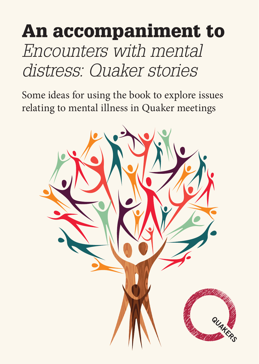# An accompaniment to *Encounters with mental distress: Quaker stories*

Some ideas for using the book to explore issues relating to mental illness in Quaker meetings

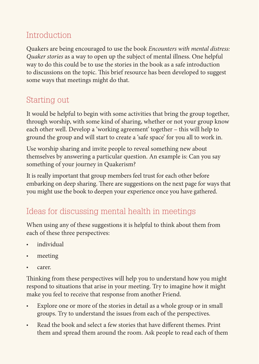## Introduction

Quakers are being encouraged to use the book *Encounters with mental distress: Quaker stories* as a way to open up the subject of mental illness. One helpful way to do this could be to use the stories in the book as a safe introduction to discussions on the topic. This brief resource has been developed to suggest some ways that meetings might do that.

### Starting out

It would be helpful to begin with some activities that bring the group together, through worship, with some kind of sharing, whether or not your group know each other well. Develop a 'working agreement' together – this will help to ground the group and will start to create a 'safe space' for you all to work in.

Use worship sharing and invite people to reveal something new about themselves by answering a particular question. An example is: Can you say something of your journey in Quakerism?

It is really important that group members feel trust for each other before embarking on deep sharing. There are suggestions on the next page for ways that you might use the book to deepen your experience once you have gathered.

#### Ideas for discussing mental health in meetings

When using any of these suggestions it is helpful to think about them from each of these three perspectives:

- individual
- meeting
- • carer.

Thinking from these perspectives will help you to understand how you might respond to situations that arise in your meeting. Try to imagine how it might make you feel to receive that response from another Friend.

- Explore one or more of the stories in detail as a whole group or in small groups. Try to understand the issues from each of the perspectives.
- Read the book and select a few stories that have different themes. Print them and spread them around the room. Ask people to read each of them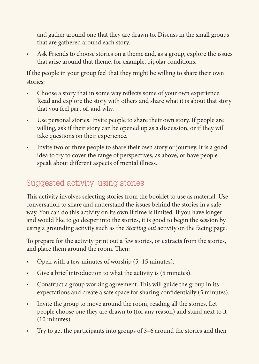and gather around one that they are drawn to. Discuss in the small groups that are gathered around each story.

Ask Friends to choose stories on a theme and, as a group, explore the issues that arise around that theme, for example, bipolar conditions.

If the people in your group feel that they might be willing to share their own stories:

- Choose a story that in some way reflects some of your own experience. Read and explore the story with others and share what it is about that story that you feel part of, and why.
- Use personal stories. Invite people to share their own story. If people are willing, ask if their story can be opened up as a discussion, or if they will take questions on their experience.
- Invite two or three people to share their own story or journey. It is a good idea to try to cover the range of perspectives, as above, or have people speak about different aspects of mental illness.

## Suggested activity: using stories

This activity involves selecting stories from the booklet to use as material. Use conversation to share and understand the issues behind the stories in a safe way. You can do this activity on its own if time is limited. If you have longer and would like to go deeper into the stories, it is good to begin the session by using a grounding activity such as the *Starting out* activity on the facing page.

To prepare for the activity print out a few stories, or extracts from the stories, and place them around the room. Then:

- Open with a few minutes of worship (5-15 minutes).
- Give a brief introduction to what the activity is (5 minutes).
- • Construct a group working agreement. This will guide the group in its expectations and create a safe space for sharing confidentially (5 minutes).
- • Invite the group to move around the room, reading all the stories. Let people choose one they are drawn to (for any reason) and stand next to it (10 minutes).
- Try to get the participants into groups of 3–6 around the stories and then